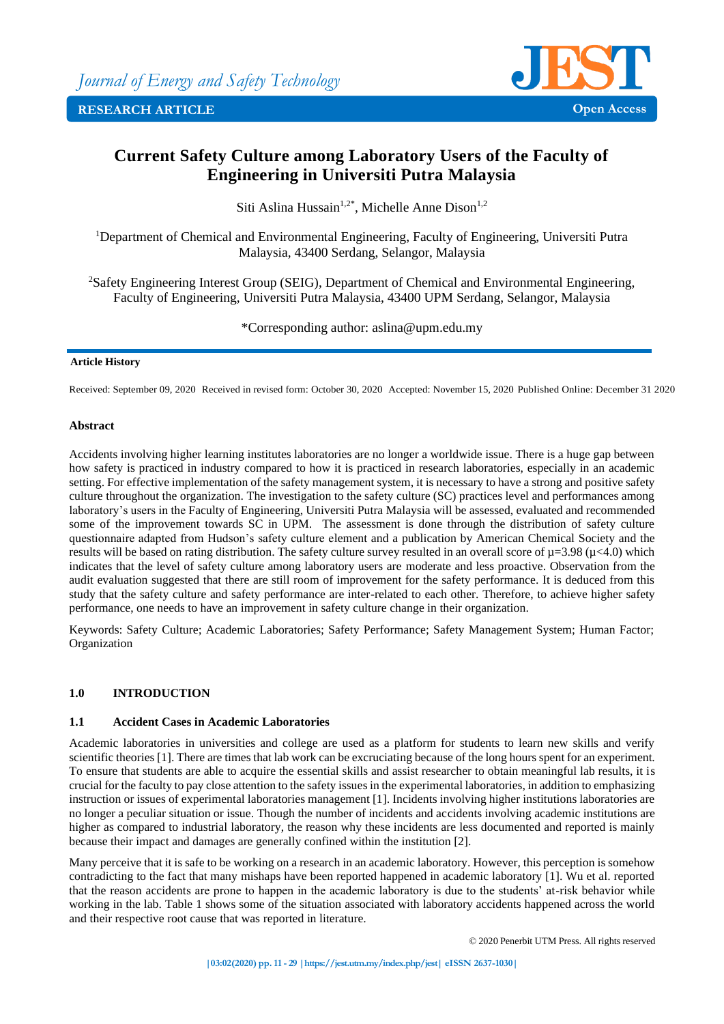

# **Current Safety Culture among Laboratory Users of the Faculty of Engineering in Universiti Putra Malaysia**

Siti Aslina Hussain<sup>1,2\*</sup>, Michelle Anne Dison<sup>1,2</sup>

<sup>1</sup>Department of Chemical and Environmental Engineering, Faculty of Engineering, Universiti Putra Malaysia, 43400 Serdang, Selangor, Malaysia

<sup>2</sup>Safety Engineering Interest Group (SEIG), Department of Chemical and Environmental Engineering, Faculty of Engineering, Universiti Putra Malaysia, 43400 UPM Serdang, Selangor, Malaysia

\*Corresponding author: aslina@upm.edu.my

## **Article History**

Received: September 09, 2020 Received in revised form: October 30, 2020 Accepted: November 15, 2020 Published Online: December 31 2020

## **Abstract**

Accidents involving higher learning institutes laboratories are no longer a worldwide issue. There is a huge gap between how safety is practiced in industry compared to how it is practiced in research laboratories, especially in an academic setting. For effective implementation of the safety management system, it is necessary to have a strong and positive safety culture throughout the organization. The investigation to the safety culture (SC) practices level and performances among laboratory's users in the Faculty of Engineering, Universiti Putra Malaysia will be assessed, evaluated and recommended some of the improvement towards SC in UPM. The assessment is done through the distribution of safety culture questionnaire adapted from Hudson's safety culture element and a publication by American Chemical Society and the results will be based on rating distribution. The safety culture survey resulted in an overall score of  $\mu$ =3.98 ( $\mu$ <4.0) which indicates that the level of safety culture among laboratory users are moderate and less proactive. Observation from the audit evaluation suggested that there are still room of improvement for the safety performance. It is deduced from this study that the safety culture and safety performance are inter-related to each other. Therefore, to achieve higher safety performance, one needs to have an improvement in safety culture change in their organization.

Keywords: Safety Culture; Academic Laboratories; Safety Performance; Safety Management System; Human Factor; Organization

## **1.0 INTRODUCTION**

## **1.1 Accident Cases in Academic Laboratories**

Academic laboratories in universities and college are used as a platform for students to learn new skills and verify scientific theories [1]. There are times that lab work can be excruciating because of the long hours spent for an experiment. To ensure that students are able to acquire the essential skills and assist researcher to obtain meaningful lab results, it is crucial for the faculty to pay close attention to the safety issues in the experimental laboratories, in addition to emphasizing instruction or issues of experimental laboratories management [1]. Incidents involving higher institutions laboratories are no longer a peculiar situation or issue. Though the number of incidents and accidents involving academic institutions are higher as compared to industrial laboratory, the reason why these incidents are less documented and reported is mainly because their impact and damages are generally confined within the institution [2].

Many perceive that it is safe to be working on a research in an academic laboratory. However, this perception is somehow contradicting to the fact that many mishaps have been reported happened in academic laboratory [1]. Wu et al. reported that the reason accidents are prone to happen in the academic laboratory is due to the students' at-risk behavior while working in the lab. Table 1 shows some of the situation associated with laboratory accidents happened across the world and their respective root cause that was reported in literature.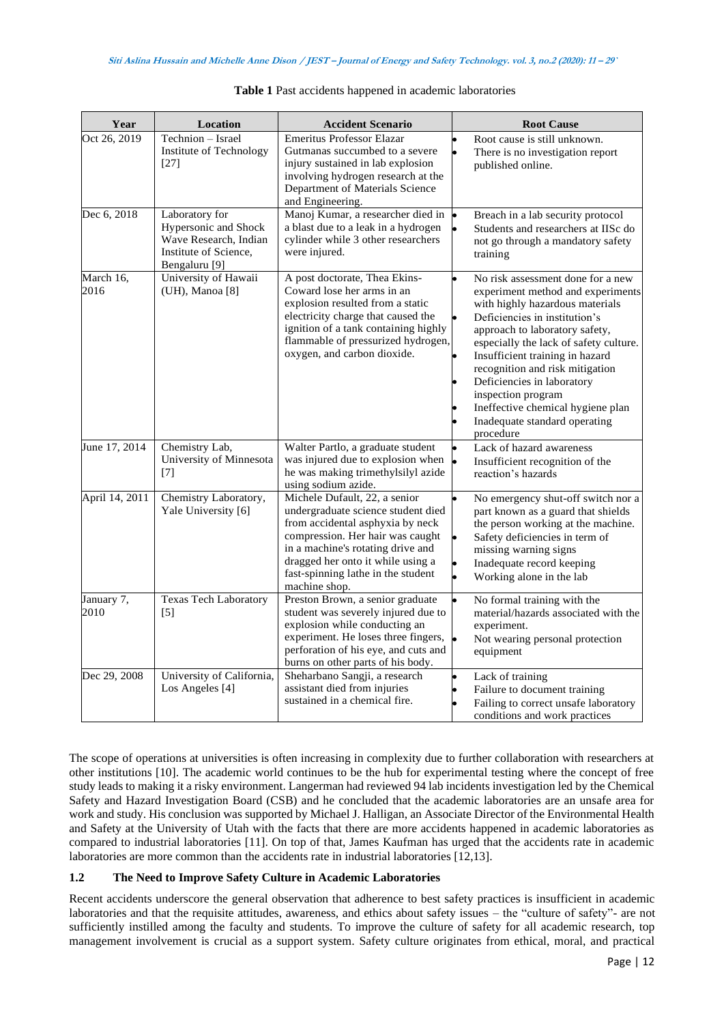| Year               | Location                                                                                                             | <b>Accident Scenario</b>                                                                                                                                                                                                                                                     | <b>Root Cause</b>                                                                                                                                                                                                                                                                                                                                                                                                                   |
|--------------------|----------------------------------------------------------------------------------------------------------------------|------------------------------------------------------------------------------------------------------------------------------------------------------------------------------------------------------------------------------------------------------------------------------|-------------------------------------------------------------------------------------------------------------------------------------------------------------------------------------------------------------------------------------------------------------------------------------------------------------------------------------------------------------------------------------------------------------------------------------|
| Oct 26, 2019       | Technion - Israel<br>Institute of Technology<br>$[27]$                                                               | <b>Emeritus Professor Elazar</b><br>Gutmanas succumbed to a severe<br>injury sustained in lab explosion<br>involving hydrogen research at the<br>Department of Materials Science<br>and Engineering.                                                                         | Root cause is still unknown.<br>There is no investigation report<br>published online.                                                                                                                                                                                                                                                                                                                                               |
| Dec 6, 2018        | Laboratory for<br>Hypersonic and Shock<br>Wave Research, Indian<br>Institute of Science,<br>Bengaluru <sup>[9]</sup> | Manoj Kumar, a researcher died in<br>a blast due to a leak in a hydrogen<br>cylinder while 3 other researchers<br>were injured.                                                                                                                                              | Breach in a lab security protocol<br>Students and researchers at IISc do<br>not go through a mandatory safety<br>training                                                                                                                                                                                                                                                                                                           |
| March 16,<br>2016  | University of Hawaii<br>(UH), Manoa [8]                                                                              | A post doctorate, Thea Ekins-<br>Coward lose her arms in an<br>explosion resulted from a static<br>electricity charge that caused the<br>ignition of a tank containing highly<br>flammable of pressurized hydrogen,<br>oxygen, and carbon dioxide.                           | No risk assessment done for a new<br>experiment method and experiments<br>with highly hazardous materials<br>Deficiencies in institution's<br>approach to laboratory safety,<br>especially the lack of safety culture.<br>Insufficient training in hazard<br>recognition and risk mitigation<br>Deficiencies in laboratory<br>inspection program<br>Ineffective chemical hygiene plan<br>Inadequate standard operating<br>procedure |
| June 17, 2014      | Chemistry Lab,<br>University of Minnesota<br>[7]                                                                     | Walter Partlo, a graduate student<br>was injured due to explosion when<br>he was making trimethylsilyl azide<br>using sodium azide.                                                                                                                                          | Lack of hazard awareness<br>Insufficient recognition of the<br>reaction's hazards                                                                                                                                                                                                                                                                                                                                                   |
| April 14, 2011     | Chemistry Laboratory,<br>Yale University [6]                                                                         | Michele Dufault, 22, a senior<br>undergraduate science student died<br>from accidental asphyxia by neck<br>compression. Her hair was caught<br>in a machine's rotating drive and<br>dragged her onto it while using a<br>fast-spinning lathe in the student<br>machine shop. | No emergency shut-off switch nor a<br>part known as a guard that shields<br>the person working at the machine.<br>Safety deficiencies in term of<br>missing warning signs<br>Inadequate record keeping<br>Working alone in the lab                                                                                                                                                                                                  |
| January 7,<br>2010 | <b>Texas Tech Laboratory</b><br>$[5]$                                                                                | Preston Brown, a senior graduate<br>student was severely injured due to<br>explosion while conducting an<br>experiment. He loses three fingers,<br>perforation of his eye, and cuts and<br>burns on other parts of his body.                                                 | No formal training with the<br>material/hazards associated with the<br>experiment.<br>Not wearing personal protection<br>equipment                                                                                                                                                                                                                                                                                                  |
| Dec 29, 2008       | University of California,<br>Los Angeles [4]                                                                         | Sheharbano Sangji, a research<br>assistant died from injuries<br>sustained in a chemical fire.                                                                                                                                                                               | Lack of training<br>Failure to document training<br>Failing to correct unsafe laboratory<br>conditions and work practices                                                                                                                                                                                                                                                                                                           |

| Table 1 Past accidents happened in academic laboratories |  |  |  |
|----------------------------------------------------------|--|--|--|
|----------------------------------------------------------|--|--|--|

The scope of operations at universities is often increasing in complexity due to further collaboration with researchers at other institutions [10]. The academic world continues to be the hub for experimental testing where the concept of free study leads to making it a risky environment. Langerman had reviewed 94 lab incidents investigation led by the Chemical Safety and Hazard Investigation Board (CSB) and he concluded that the academic laboratories are an unsafe area for work and study. His conclusion was supported by Michael J. Halligan, an Associate Director of the Environmental Health and Safety at the University of Utah with the facts that there are more accidents happened in academic laboratories as compared to industrial laboratories [11]. On top of that, James Kaufman has urged that the accidents rate in academic laboratories are more common than the accidents rate in industrial laboratories [12,13].

## **1.2 The Need to Improve Safety Culture in Academic Laboratories**

Recent accidents underscore the general observation that adherence to best safety practices is insufficient in academic laboratories and that the requisite attitudes, awareness, and ethics about safety issues – the "culture of safety"- are not sufficiently instilled among the faculty and students. To improve the culture of safety for all academic research, top management involvement is crucial as a support system. Safety culture originates from ethical, moral, and practical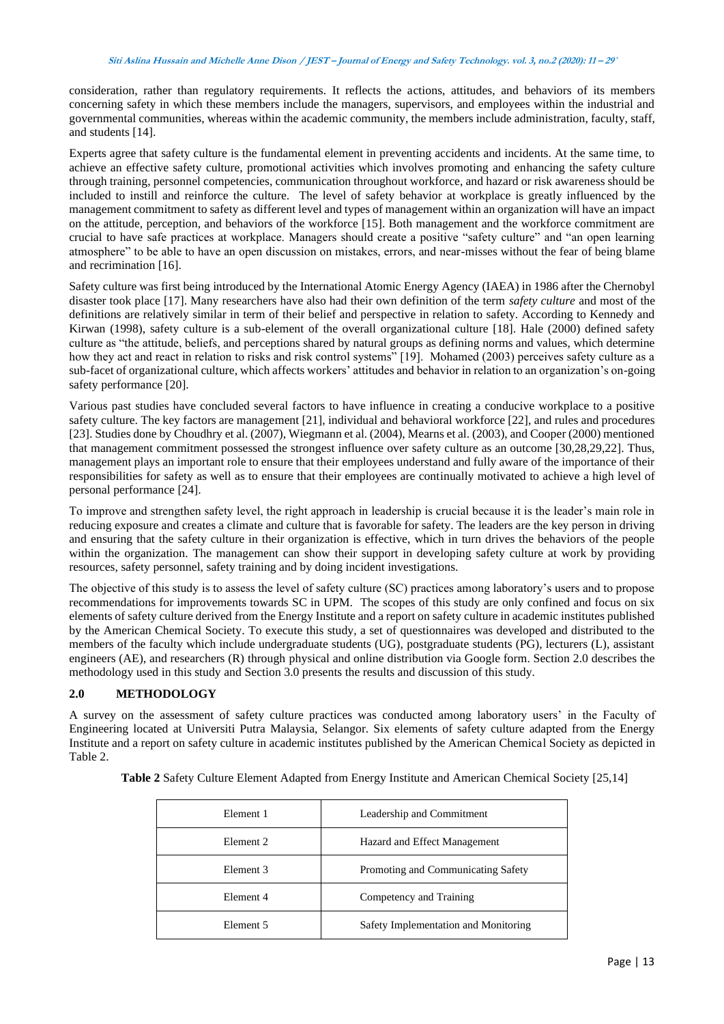consideration, rather than regulatory requirements. It reflects the actions, attitudes, and behaviors of its members concerning safety in which these members include the managers, supervisors, and employees within the industrial and governmental communities, whereas within the academic community, the members include administration, faculty, staff, and students [14].

Experts agree that safety culture is the fundamental element in preventing accidents and incidents. At the same time, to achieve an effective safety culture, promotional activities which involves promoting and enhancing the safety culture through training, personnel competencies, communication throughout workforce, and hazard or risk awareness should be included to instill and reinforce the culture. The level of safety behavior at workplace is greatly influenced by the management commitment to safety as different level and types of management within an organization will have an impact on the attitude, perception, and behaviors of the workforce [15]. Both management and the workforce commitment are crucial to have safe practices at workplace. Managers should create a positive "safety culture" and "an open learning atmosphere" to be able to have an open discussion on mistakes, errors, and near-misses without the fear of being blame and recrimination [16].

Safety culture was first being introduced by the International Atomic Energy Agency (IAEA) in 1986 after the Chernobyl disaster took place [17]. Many researchers have also had their own definition of the term *safety culture* and most of the definitions are relatively similar in term of their belief and perspective in relation to safety. According to Kennedy and Kirwan (1998), safety culture is a sub-element of the overall organizational culture [18]. Hale (2000) defined safety culture as "the attitude, beliefs, and perceptions shared by natural groups as defining norms and values, which determine how they act and react in relation to risks and risk control systems" [19]. Mohamed (2003) perceives safety culture as a sub-facet of organizational culture, which affects workers' attitudes and behavior in relation to an organization's on-going safety performance [20].

Various past studies have concluded several factors to have influence in creating a conducive workplace to a positive safety culture. The key factors are management [21], individual and behavioral workforce [22], and rules and procedures [23]. Studies done by Choudhry et al. (2007), Wiegmann et al. (2004), Mearns et al. (2003), and Cooper (2000) mentioned that management commitment possessed the strongest influence over safety culture as an outcome [30,28,29,22]. Thus, management plays an important role to ensure that their employees understand and fully aware of the importance of their responsibilities for safety as well as to ensure that their employees are continually motivated to achieve a high level of personal performance [24].

To improve and strengthen safety level, the right approach in leadership is crucial because it is the leader's main role in reducing exposure and creates a climate and culture that is favorable for safety. The leaders are the key person in driving and ensuring that the safety culture in their organization is effective, which in turn drives the behaviors of the people within the organization. The management can show their support in developing safety culture at work by providing resources, safety personnel, safety training and by doing incident investigations.

The objective of this study is to assess the level of safety culture (SC) practices among laboratory's users and to propose recommendations for improvements towards SC in UPM. The scopes of this study are only confined and focus on six elements of safety culture derived from the Energy Institute and a report on safety culture in academic institutes published by the American Chemical Society. To execute this study, a set of questionnaires was developed and distributed to the members of the faculty which include undergraduate students (UG), postgraduate students (PG), lecturers (L), assistant engineers (AE), and researchers (R) through physical and online distribution via Google form. Section 2.0 describes the methodology used in this study and Section 3.0 presents the results and discussion of this study.

## **2.0 METHODOLOGY**

A survey on the assessment of safety culture practices was conducted among laboratory users' in the Faculty of Engineering located at Universiti Putra Malaysia, Selangor. Six elements of safety culture adapted from the Energy Institute and a report on safety culture in academic institutes published by the American Chemical Society as depicted in Table 2.

| Element 1            | Leadership and Commitment            |
|----------------------|--------------------------------------|
| Element <sub>2</sub> | Hazard and Effect Management         |
| Element 3            | Promoting and Communicating Safety   |
| Element 4            | Competency and Training              |
| Element 5            | Safety Implementation and Monitoring |

**Table 2** Safety Culture Element Adapted from Energy Institute and American Chemical Society [25,14]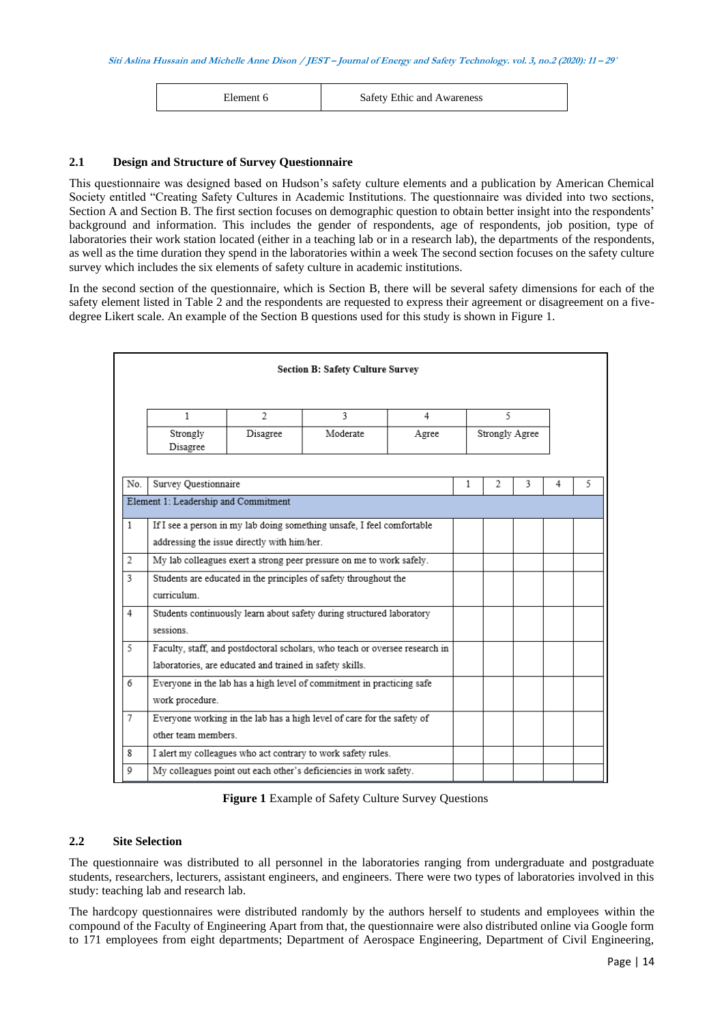Element 6 Safety Ethic and Awareness

## **2.1 Design and Structure of Survey Questionnaire**

This questionnaire was designed based on Hudson's safety culture elements and a publication by American Chemical Society entitled "Creating Safety Cultures in Academic Institutions. The questionnaire was divided into two sections, Section A and Section B. The first section focuses on demographic question to obtain better insight into the respondents' background and information. This includes the gender of respondents, age of respondents, job position, type of laboratories their work station located (either in a teaching lab or in a research lab), the departments of the respondents, as well as the time duration they spend in the laboratories within a week The second section focuses on the safety culture survey which includes the six elements of safety culture in academic institutions.

In the second section of the questionnaire, which is Section B, there will be several safety dimensions for each of the safety element listed in Table 2 and the respondents are requested to express their agreement or disagreement on a fivedegree Likert scale. An example of the Section B questions used for this study is shown in Figure 1.

|                |                                                                                   |                                                          | <b>Section B: Safety Culture Survey</b>                                     |   |   |   |   |   |   |
|----------------|-----------------------------------------------------------------------------------|----------------------------------------------------------|-----------------------------------------------------------------------------|---|---|---|---|---|---|
|                | 1                                                                                 | $\overline{2}$                                           | 3                                                                           | 4 |   | 5 |   |   |   |
|                | Moderate<br>Strongly Agree<br>Strongly<br>Disagree<br>Agree<br>Disagree           |                                                          |                                                                             |   |   |   |   |   |   |
| No.            | Survey Questionnaire                                                              |                                                          |                                                                             |   | 1 | 2 | 3 | 4 | 5 |
|                | Element 1: Leadership and Commitment                                              |                                                          |                                                                             |   |   |   |   |   |   |
| $\mathbf{1}$   |                                                                                   |                                                          | If I see a person in my lab doing something unsafe. I feel comfortable      |   |   |   |   |   |   |
|                | addressing the issue directly with him/her.                                       |                                                          |                                                                             |   |   |   |   |   |   |
| 2              |                                                                                   |                                                          | My lab colleagues exert a strong peer pressure on me to work safely.        |   |   |   |   |   |   |
|                | 3<br>Students are educated in the principles of safety throughout the             |                                                          |                                                                             |   |   |   |   |   |   |
| $\overline{4}$ | curriculum                                                                        |                                                          |                                                                             |   |   |   |   |   |   |
|                | Students continuously learn about safety during structured laboratory<br>sessions |                                                          |                                                                             |   |   |   |   |   |   |
| 5              |                                                                                   |                                                          | Faculty, staff, and postdoctoral scholars, who teach or oversee research in |   |   |   |   |   |   |
|                |                                                                                   | laboratories, are educated and trained in safety skills. |                                                                             |   |   |   |   |   |   |
| 6              | Everyone in the lab has a high level of commitment in practicing safe             |                                                          |                                                                             |   |   |   |   |   |   |
|                | work procedure.                                                                   |                                                          |                                                                             |   |   |   |   |   |   |
| 7              | Everyone working in the lab has a high level of care for the safety of            |                                                          |                                                                             |   |   |   |   |   |   |
|                | other team members.                                                               |                                                          |                                                                             |   |   |   |   |   |   |
| 8              |                                                                                   |                                                          | I alert my colleagues who act contrary to work safety rules.                |   |   |   |   |   |   |
| Q              |                                                                                   |                                                          | My colleagues point out each other's deficiencies in work safety.           |   |   |   |   |   |   |

**Figure 1** Example of Safety Culture Survey Questions

## **2.2 Site Selection**

The questionnaire was distributed to all personnel in the laboratories ranging from undergraduate and postgraduate students, researchers, lecturers, assistant engineers, and engineers. There were two types of laboratories involved in this study: teaching lab and research lab.

The hardcopy questionnaires were distributed randomly by the authors herself to students and employees within the compound of the Faculty of Engineering Apart from that, the questionnaire were also distributed online via Google form to 171 employees from eight departments; Department of Aerospace Engineering, Department of Civil Engineering,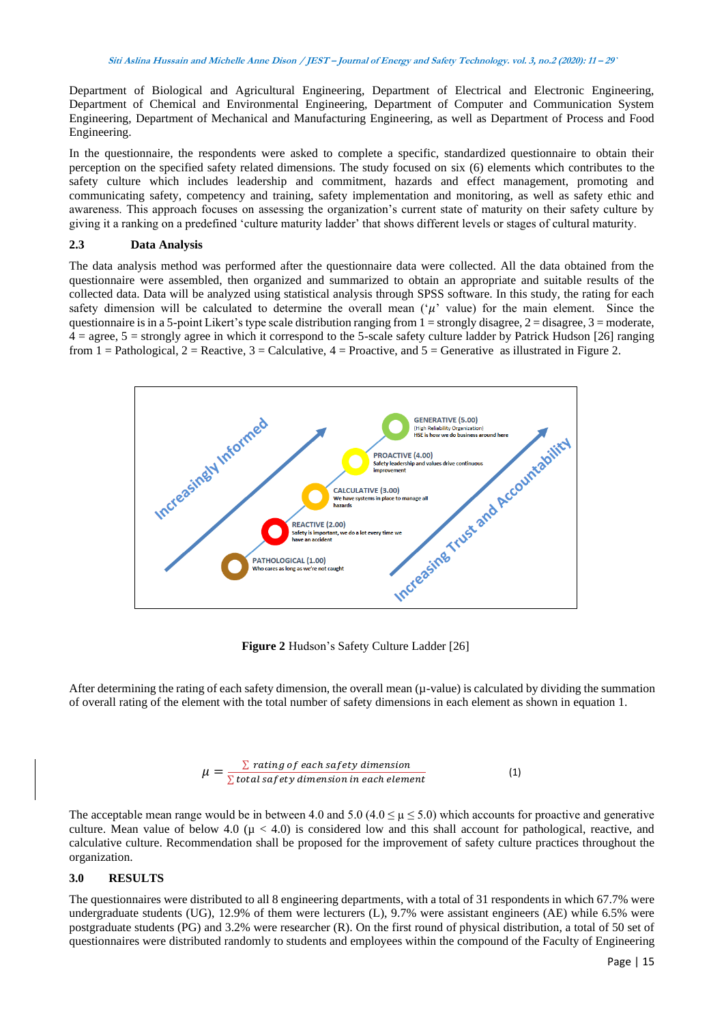Department of Biological and Agricultural Engineering, Department of Electrical and Electronic Engineering, Department of Chemical and Environmental Engineering, Department of Computer and Communication System Engineering, Department of Mechanical and Manufacturing Engineering, as well as Department of Process and Food Engineering.

In the questionnaire, the respondents were asked to complete a specific, standardized questionnaire to obtain their perception on the specified safety related dimensions. The study focused on six (6) elements which contributes to the safety culture which includes leadership and commitment, hazards and effect management, promoting and communicating safety, competency and training, safety implementation and monitoring, as well as safety ethic and awareness. This approach focuses on assessing the organization's current state of maturity on their safety culture by giving it a ranking on a predefined 'culture maturity ladder' that shows different levels or stages of cultural maturity.

## **2.3 Data Analysis**

The data analysis method was performed after the questionnaire data were collected. All the data obtained from the questionnaire were assembled, then organized and summarized to obtain an appropriate and suitable results of the collected data. Data will be analyzed using statistical analysis through SPSS software. In this study, the rating for each safety dimension will be calculated to determine the overall mean  $(\mu)$  value) for the main element. Since the questionnaire is in a 5-point Likert's type scale distribution ranging from  $1 =$  strongly disagree,  $2 =$  disagree,  $3 =$  moderate,  $4 = \text{agree}, 5 = \text{strongly agree}$  in which it correspond to the 5-scale safety culture ladder by Patrick Hudson [26] ranging from  $1 =$  Pathological,  $2 =$  Reactive,  $3 =$  Calculative,  $4 =$  Proactive, and  $5 =$  Generative as illustrated in Figure 2.



**Figure 2** Hudson's Safety Culture Ladder [26]

After determining the rating of each safety dimension, the overall mean  $(\mu$ -value) is calculated by dividing the summation of overall rating of the element with the total number of safety dimensions in each element as shown in equation 1.

$$
\mu = \frac{\sum \text{rating of each safety dimension}}{\sum \text{total safety dimension in each element}} \tag{1}
$$

The acceptable mean range would be in between 4.0 and 5.0 (4.0  $\leq \mu \leq$  5.0) which accounts for proactive and generative culture. Mean value of below 4.0 ( $\mu$  < 4.0) is considered low and this shall account for pathological, reactive, and calculative culture. Recommendation shall be proposed for the improvement of safety culture practices throughout the organization.

## **3.0 RESULTS**

The questionnaires were distributed to all 8 engineering departments, with a total of 31 respondents in which 67.7% were undergraduate students (UG), 12.9% of them were lecturers (L), 9.7% were assistant engineers (AE) while 6.5% were postgraduate students (PG) and 3.2% were researcher (R). On the first round of physical distribution, a total of 50 set of questionnaires were distributed randomly to students and employees within the compound of the Faculty of Engineering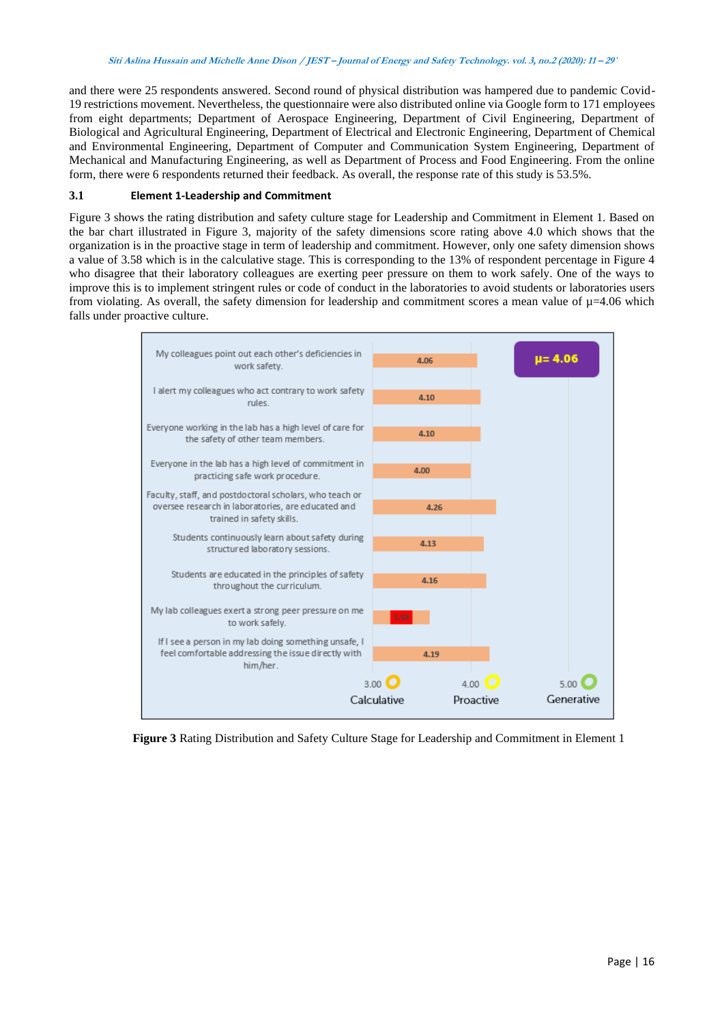and there were 25 respondents answered. Second round of physical distribution was hampered due to pandemic Covid-19 restrictions movement. Nevertheless, the questionnaire were also distributed online via Google form to 171 employees from eight departments; Department of Aerospace Engineering, Department of Civil Engineering, Department of Biological and Agricultural Engineering, Department of Electrical and Electronic Engineering, Department of Chemical and Environmental Engineering, Department of Computer and Communication System Engineering, Department of Mechanical and Manufacturing Engineering, as well as Department of Process and Food Engineering. From the online form, there were 6 respondents returned their feedback. As overall, the response rate of this study is 53.5%.

## **3.1 Element 1-Leadership and Commitment**

Figure 3 shows the rating distribution and safety culture stage for Leadership and Commitment in Element 1. Based on the bar chart illustrated in Figure 3, majority of the safety dimensions score rating above 4.0 which shows that the organization is in the proactive stage in term of leadership and commitment. However, only one safety dimension shows a value of 3.58 which is in the calculative stage. This is corresponding to the 13% of respondent percentage in Figure 4 who disagree that their laboratory colleagues are exerting peer pressure on them to work safely. One of the ways to improve this is to implement stringent rules or code of conduct in the laboratories to avoid students or laboratories users from violating. As overall, the safety dimension for leadership and commitment scores a mean value of  $\mu$ =4.06 which falls under proactive culture.



**Figure 3** Rating Distribution and Safety Culture Stage for Leadership and Commitment in Element 1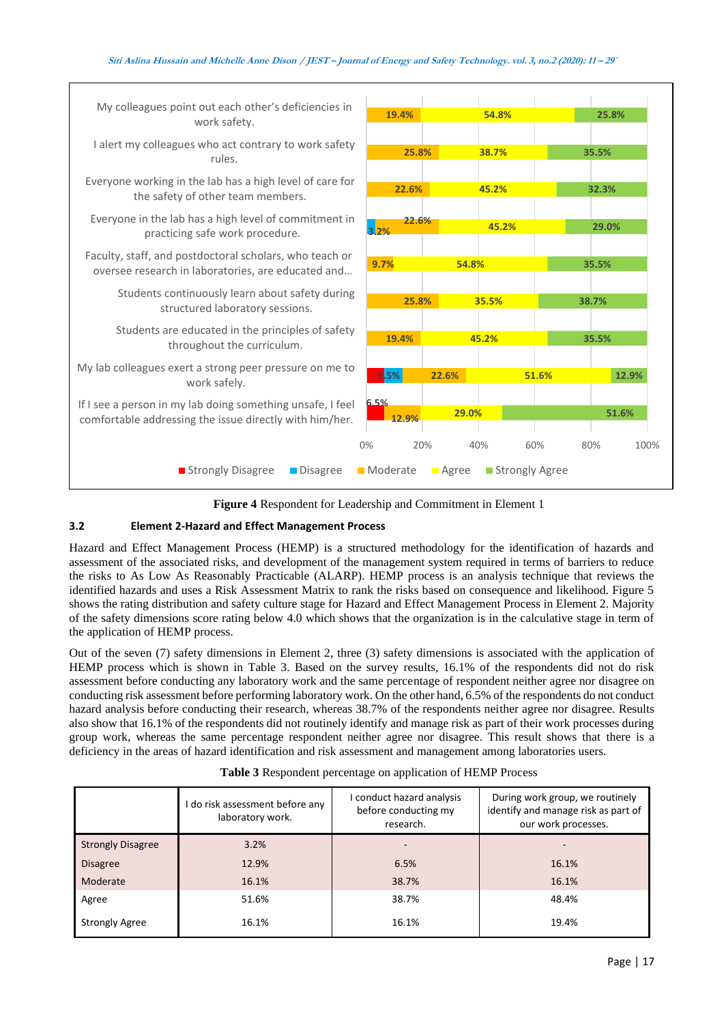| My colleagues point out each other's deficiencies in<br>work safety.                                                  | 19.4%         | 54.8%                |                  | 25.8%       |
|-----------------------------------------------------------------------------------------------------------------------|---------------|----------------------|------------------|-------------|
| I alert my colleagues who act contrary to work safety<br>rules.                                                       | 25.8%         | 38.7%                |                  | 35.5%       |
| Everyone working in the lab has a high level of care for<br>the safety of other team members.                         | 22.6%         | 45.2%                |                  | 32.3%       |
| Everyone in the lab has a high level of commitment in<br>practicing safe work procedure.                              | 22.6%<br>3.2% | 45.2%                |                  | 29.0%       |
| Faculty, staff, and postdoctoral scholars, who teach or<br>oversee research in laboratories, are educated and         | 9.7%          | 54.8%                |                  | 35.5%       |
| Students continuously learn about safety during<br>structured laboratory sessions.                                    | 25.8%         | 35.5%                |                  | 38.7%       |
| Students are educated in the principles of safety<br>throughout the curriculum.                                       | 19.4%         | 45.2%                |                  | 35.5%       |
| My lab colleagues exert a strong peer pressure on me to<br>work safely.                                               | 6.5%          | 22.6%                | 51.6%            | 12.9%       |
| If I see a person in my lab doing something unsafe, I feel<br>comfortable addressing the issue directly with him/her. | 6.5%<br>12.9% | 29.0%                |                  | 51.6%       |
|                                                                                                                       | 0%<br>20%     | 40%                  | 60%              | 80%<br>100% |
| ■ Strongly Disagree<br>Disagree                                                                                       | Moderate      | $\blacksquare$ Agree | ■ Strongly Agree |             |

**Figure 4** Respondent for Leadership and Commitment in Element 1

## **3.2 Element 2-Hazard and Effect Management Process**

 $\overline{\phantom{a}}$ 

Hazard and Effect Management Process (HEMP) is a structured methodology for the identification of hazards and assessment of the associated risks, and development of the management system required in terms of barriers to reduce the risks to As Low As Reasonably Practicable (ALARP). HEMP process is an analysis technique that reviews the identified hazards and uses a Risk Assessment Matrix to rank the risks based on consequence and likelihood. Figure 5 shows the rating distribution and safety culture stage for Hazard and Effect Management Process in Element 2. Majority of the safety dimensions score rating below 4.0 which shows that the organization is in the calculative stage in term of the application of HEMP process.

Out of the seven (7) safety dimensions in Element 2, three (3) safety dimensions is associated with the application of HEMP process which is shown in Table 3. Based on the survey results, 16.1% of the respondents did not do risk assessment before conducting any laboratory work and the same percentage of respondent neither agree nor disagree on conducting risk assessment before performing laboratory work. On the other hand, 6.5% of the respondents do not conduct hazard analysis before conducting their research, whereas 38.7% of the respondents neither agree nor disagree. Results also show that 16.1% of the respondents did not routinely identify and manage risk as part of their work processes during group work, whereas the same percentage respondent neither agree nor disagree. This result shows that there is a deficiency in the areas of hazard identification and risk assessment and management among laboratories users.

|                          | I do risk assessment before any<br>laboratory work. | I conduct hazard analysis<br>before conducting my<br>research. | During work group, we routinely<br>identify and manage risk as part of<br>our work processes. |  |  |
|--------------------------|-----------------------------------------------------|----------------------------------------------------------------|-----------------------------------------------------------------------------------------------|--|--|
| <b>Strongly Disagree</b> | 3.2%                                                |                                                                |                                                                                               |  |  |
| <b>Disagree</b>          | 12.9%                                               | 6.5%                                                           | 16.1%                                                                                         |  |  |
| Moderate                 | 16.1%                                               | 38.7%                                                          | 16.1%                                                                                         |  |  |
| Agree                    | 51.6%                                               | 38.7%                                                          | 48.4%                                                                                         |  |  |
| <b>Strongly Agree</b>    | 16.1%                                               | 16.1%                                                          | 19.4%                                                                                         |  |  |

**Table 3** Respondent percentage on application of HEMP Process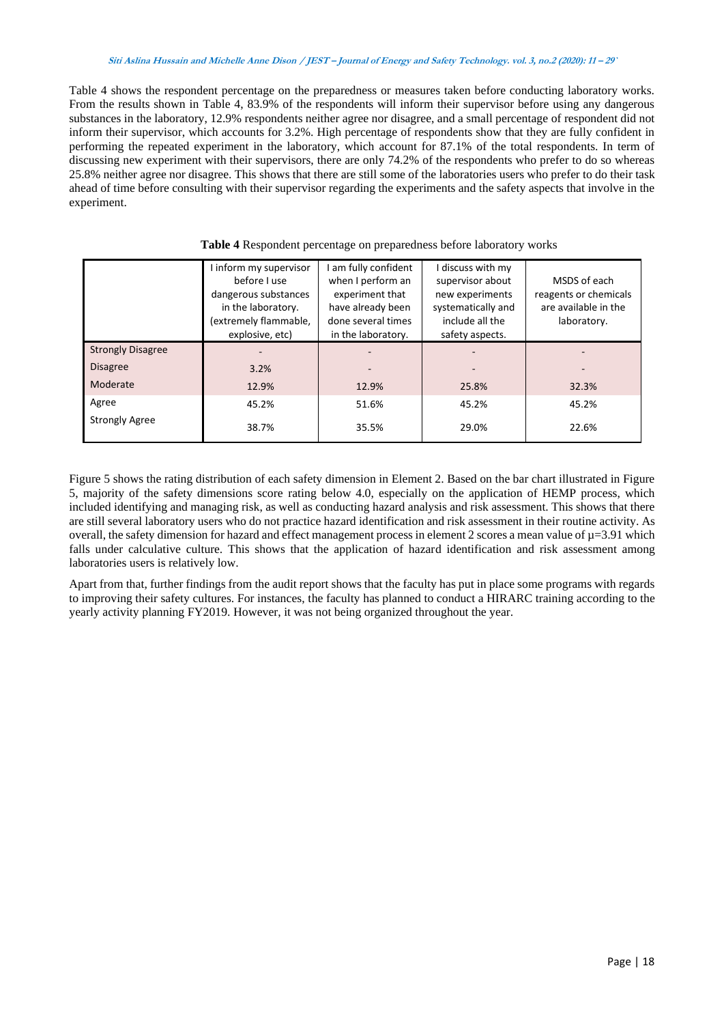Table 4 shows the respondent percentage on the preparedness or measures taken before conducting laboratory works. From the results shown in Table 4, 83.9% of the respondents will inform their supervisor before using any dangerous substances in the laboratory, 12.9% respondents neither agree nor disagree, and a small percentage of respondent did not inform their supervisor, which accounts for 3.2%. High percentage of respondents show that they are fully confident in performing the repeated experiment in the laboratory, which account for 87.1% of the total respondents. In term of discussing new experiment with their supervisors, there are only 74.2% of the respondents who prefer to do so whereas 25.8% neither agree nor disagree. This shows that there are still some of the laboratories users who prefer to do their task ahead of time before consulting with their supervisor regarding the experiments and the safety aspects that involve in the experiment.

|                          | I inform my supervisor<br>before Luse<br>dangerous substances<br>in the laboratory.<br>(extremely flammable,<br>explosive, etc) | I am fully confident<br>when I perform an<br>experiment that<br>have already been<br>done several times<br>in the laboratory. | I discuss with my<br>supervisor about<br>new experiments<br>systematically and<br>include all the<br>safety aspects. | MSDS of each<br>reagents or chemicals<br>are available in the<br>laboratory. |
|--------------------------|---------------------------------------------------------------------------------------------------------------------------------|-------------------------------------------------------------------------------------------------------------------------------|----------------------------------------------------------------------------------------------------------------------|------------------------------------------------------------------------------|
| <b>Strongly Disagree</b> |                                                                                                                                 |                                                                                                                               |                                                                                                                      |                                                                              |
| <b>Disagree</b>          | 3.2%                                                                                                                            |                                                                                                                               |                                                                                                                      |                                                                              |
| Moderate                 | 12.9%                                                                                                                           | 12.9%                                                                                                                         | 25.8%                                                                                                                | 32.3%                                                                        |
| Agree                    | 45.2%                                                                                                                           | 51.6%                                                                                                                         | 45.2%                                                                                                                | 45.2%                                                                        |
| <b>Strongly Agree</b>    | 38.7%                                                                                                                           | 35.5%                                                                                                                         | 29.0%                                                                                                                | 22.6%                                                                        |

**Table 4** Respondent percentage on preparedness before laboratory works

Figure 5 shows the rating distribution of each safety dimension in Element 2. Based on the bar chart illustrated in Figure 5, majority of the safety dimensions score rating below 4.0, especially on the application of HEMP process, which included identifying and managing risk, as well as conducting hazard analysis and risk assessment. This shows that there are still several laboratory users who do not practice hazard identification and risk assessment in their routine activity. As overall, the safety dimension for hazard and effect management process in element 2 scores a mean value of  $\mu$ =3.91 which falls under calculative culture. This shows that the application of hazard identification and risk assessment among laboratories users is relatively low.

Apart from that, further findings from the audit report shows that the faculty has put in place some programs with regards to improving their safety cultures. For instances, the faculty has planned to conduct a HIRARC training according to the yearly activity planning FY2019. However, it was not being organized throughout the year.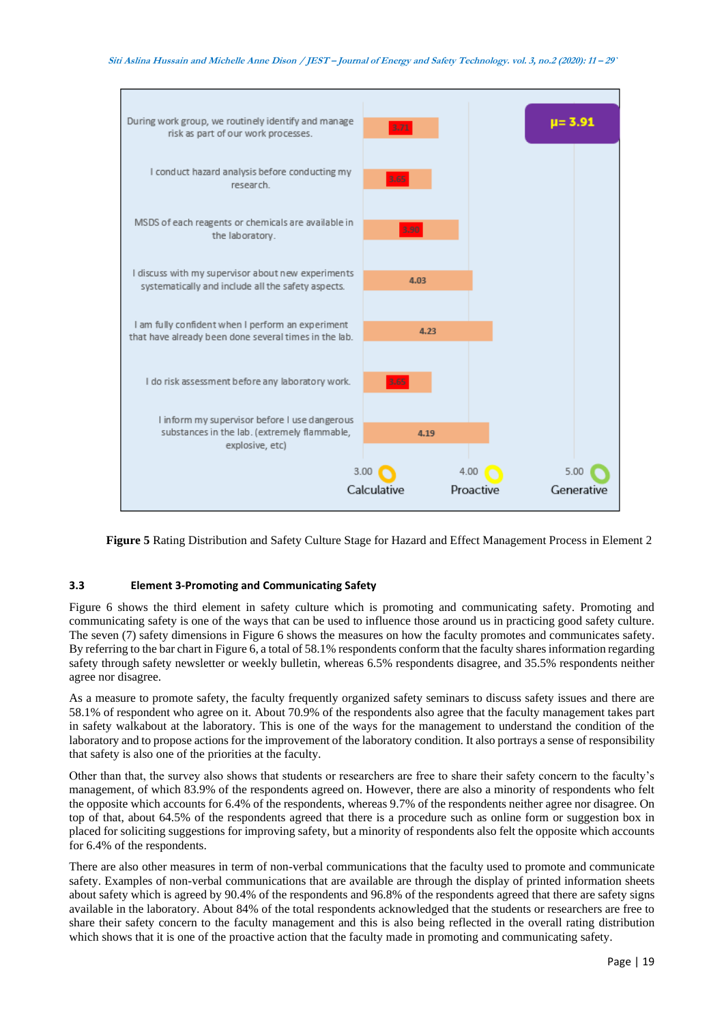

**Figure 5** Rating Distribution and Safety Culture Stage for Hazard and Effect Management Process in Element 2

# **3.3 Element 3-Promoting and Communicating Safety**

Figure 6 shows the third element in safety culture which is promoting and communicating safety. Promoting and communicating safety is one of the ways that can be used to influence those around us in practicing good safety culture. The seven (7) safety dimensions in Figure 6 shows the measures on how the faculty promotes and communicates safety. By referring to the bar chart in Figure 6, a total of 58.1% respondents conform that the faculty shares information regarding safety through safety newsletter or weekly bulletin, whereas 6.5% respondents disagree, and 35.5% respondents neither agree nor disagree.

As a measure to promote safety, the faculty frequently organized safety seminars to discuss safety issues and there are 58.1% of respondent who agree on it. About 70.9% of the respondents also agree that the faculty management takes part in safety walkabout at the laboratory. This is one of the ways for the management to understand the condition of the laboratory and to propose actions for the improvement of the laboratory condition. It also portrays a sense of responsibility that safety is also one of the priorities at the faculty.

Other than that, the survey also shows that students or researchers are free to share their safety concern to the faculty's management, of which 83.9% of the respondents agreed on. However, there are also a minority of respondents who felt the opposite which accounts for 6.4% of the respondents, whereas 9.7% of the respondents neither agree nor disagree. On top of that, about 64.5% of the respondents agreed that there is a procedure such as online form or suggestion box in placed for soliciting suggestions for improving safety, but a minority of respondents also felt the opposite which accounts for 6.4% of the respondents.

There are also other measures in term of non-verbal communications that the faculty used to promote and communicate safety. Examples of non-verbal communications that are available are through the display of printed information sheets about safety which is agreed by 90.4% of the respondents and 96.8% of the respondents agreed that there are safety signs available in the laboratory. About 84% of the total respondents acknowledged that the students or researchers are free to share their safety concern to the faculty management and this is also being reflected in the overall rating distribution which shows that it is one of the proactive action that the faculty made in promoting and communicating safety.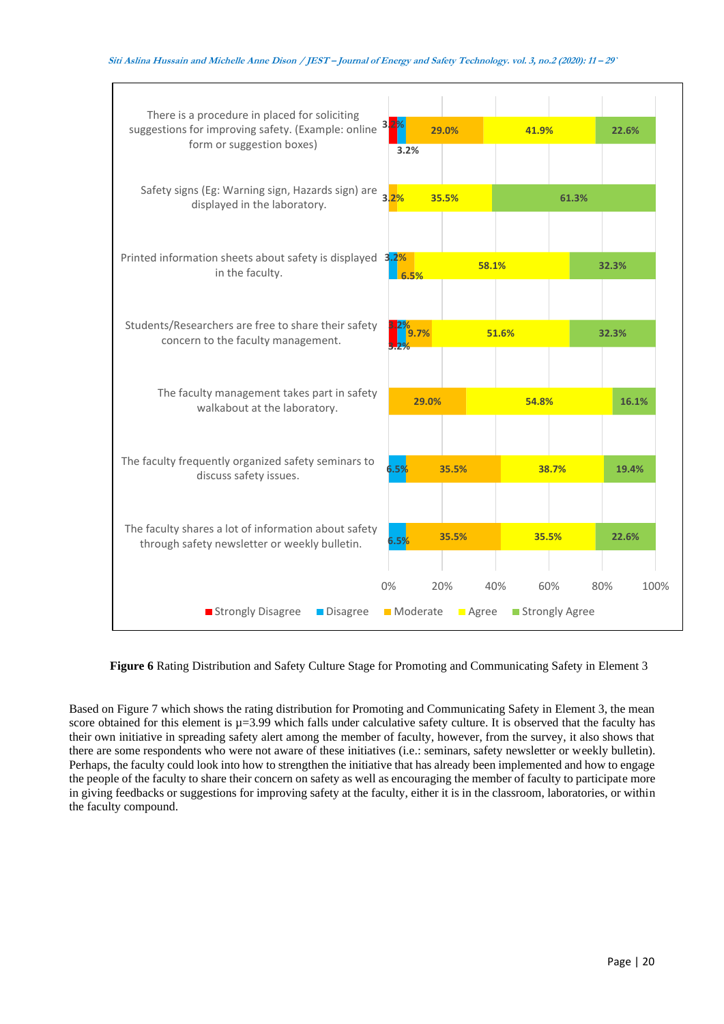| There is a procedure in placed for soliciting<br>suggestions for improving safety. (Example: online<br>form or suggestion boxes) | 3.<br>3.2%        | 29.0%               | 41.9%      |                | 22.6%       |
|----------------------------------------------------------------------------------------------------------------------------------|-------------------|---------------------|------------|----------------|-------------|
| Safety signs (Eg: Warning sign, Hazards sign) are<br>displayed in the laboratory.                                                | 3.2%              | 35.5%               |            | 61.3%          |             |
| Printed information sheets about safety is displayed 3.2%<br>in the faculty.                                                     | 6.5%              |                     | 58.1%      |                | 32.3%       |
| Students/Researchers are free to share their safety<br>concern to the faculty management.                                        | 9.7%              |                     | 51.6%      |                | 32.3%       |
| The faculty management takes part in safety<br>walkabout at the laboratory.                                                      | 29.0%             |                     | 54.8%      |                | 16.1%       |
| The faculty frequently organized safety seminars to<br>discuss safety issues.                                                    | $6.5\%$           | 35.5%               |            | 38.7%          | 19.4%       |
| The faculty shares a lot of information about safety<br>through safety newsletter or weekly bulletin.                            | 6.5%              | 35.5%               | 35.5%      |                | 22.6%       |
| Strongly Disagree<br>Disagree                                                                                                    | $0\%$<br>Moderate | 20%<br><b>Agree</b> | 40%<br>60% | Strongly Agree | 80%<br>100% |

**Figure 6** Rating Distribution and Safety Culture Stage for Promoting and Communicating Safety in Element 3

Based on Figure 7 which shows the rating distribution for Promoting and Communicating Safety in Element 3, the mean score obtained for this element is  $\mu$ =3.99 which falls under calculative safety culture. It is observed that the faculty has their own initiative in spreading safety alert among the member of faculty, however, from the survey, it also shows that there are some respondents who were not aware of these initiatives (i.e.: seminars, safety newsletter or weekly bulletin). Perhaps, the faculty could look into how to strengthen the initiative that has already been implemented and how to engage the people of the faculty to share their concern on safety as well as encouraging the member of faculty to participate more in giving feedbacks or suggestions for improving safety at the faculty, either it is in the classroom, laboratories, or within the faculty compound.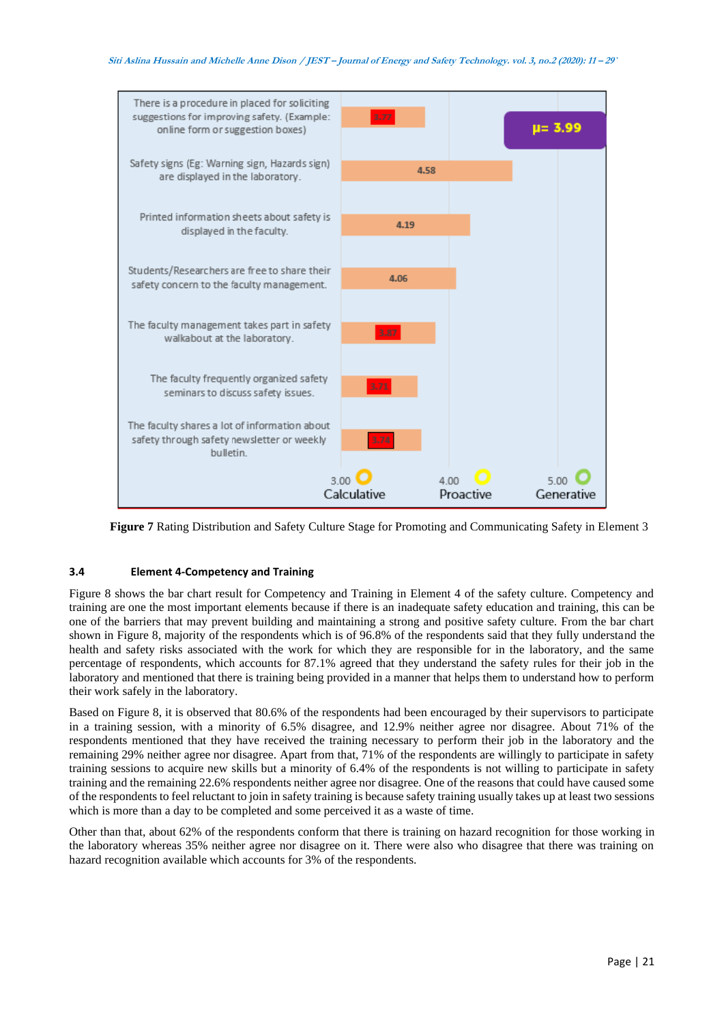

**Figure 7** Rating Distribution and Safety Culture Stage for Promoting and Communicating Safety in Element 3

## **3.4 Element 4-Competency and Training**

Figure 8 shows the bar chart result for Competency and Training in Element 4 of the safety culture. Competency and training are one the most important elements because if there is an inadequate safety education and training, this can be one of the barriers that may prevent building and maintaining a strong and positive safety culture. From the bar chart shown in Figure 8, majority of the respondents which is of 96.8% of the respondents said that they fully understand the health and safety risks associated with the work for which they are responsible for in the laboratory, and the same percentage of respondents, which accounts for 87.1% agreed that they understand the safety rules for their job in the laboratory and mentioned that there is training being provided in a manner that helps them to understand how to perform their work safely in the laboratory.

Based on Figure 8, it is observed that 80.6% of the respondents had been encouraged by their supervisors to participate in a training session, with a minority of 6.5% disagree, and 12.9% neither agree nor disagree. About 71% of the respondents mentioned that they have received the training necessary to perform their job in the laboratory and the remaining 29% neither agree nor disagree. Apart from that, 71% of the respondents are willingly to participate in safety training sessions to acquire new skills but a minority of 6.4% of the respondents is not willing to participate in safety training and the remaining 22.6% respondents neither agree nor disagree. One of the reasons that could have caused some of the respondents to feel reluctant to join in safety training is because safety training usually takes up at least two sessions which is more than a day to be completed and some perceived it as a waste of time.

Other than that, about 62% of the respondents conform that there is training on hazard recognition for those working in the laboratory whereas 35% neither agree nor disagree on it. There were also who disagree that there was training on hazard recognition available which accounts for 3% of the respondents.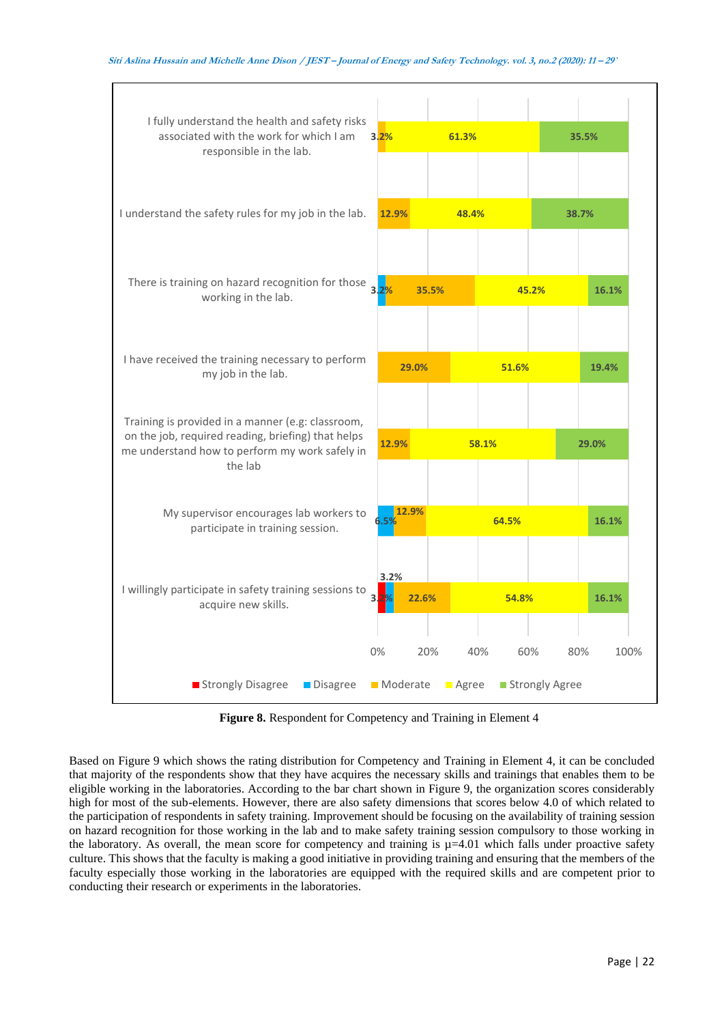

**Figure 8.** Respondent for Competency and Training in Element 4

Based on Figure 9 which shows the rating distribution for Competency and Training in Element 4, it can be concluded that majority of the respondents show that they have acquires the necessary skills and trainings that enables them to be eligible working in the laboratories. According to the bar chart shown in Figure 9, the organization scores considerably high for most of the sub-elements. However, there are also safety dimensions that scores below 4.0 of which related to the participation of respondents in safety training. Improvement should be focusing on the availability of training session on hazard recognition for those working in the lab and to make safety training session compulsory to those working in the laboratory. As overall, the mean score for competency and training is  $\mu$ =4.01 which falls under proactive safety culture. This shows that the faculty is making a good initiative in providing training and ensuring that the members of the faculty especially those working in the laboratories are equipped with the required skills and are competent prior to conducting their research or experiments in the laboratories.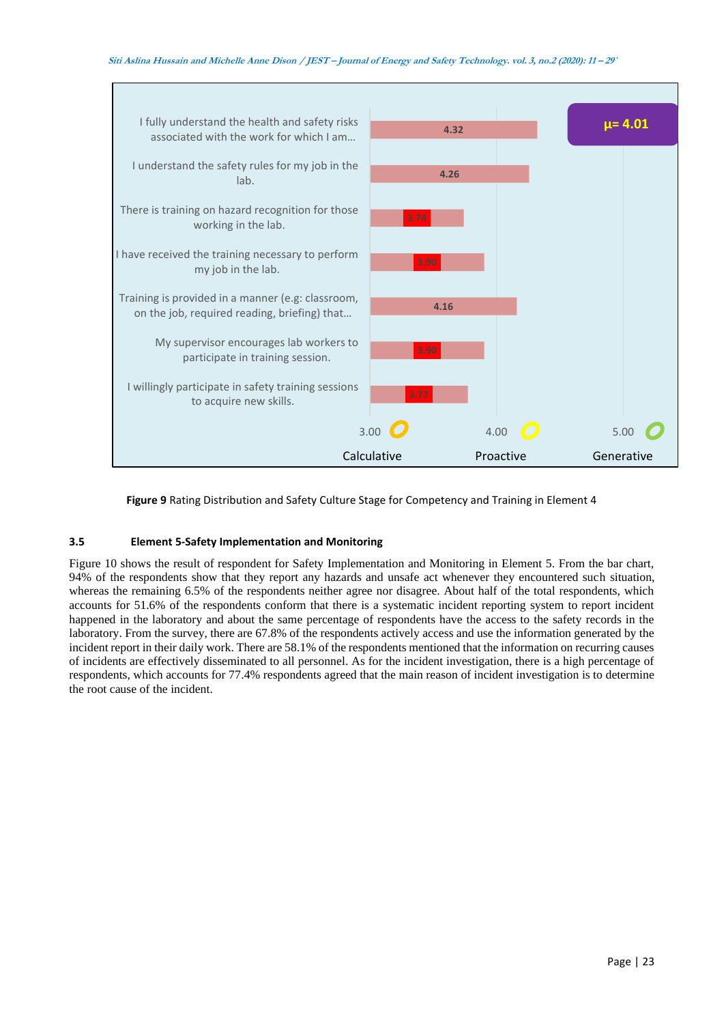

**Figure 9** Rating Distribution and Safety Culture Stage for Competency and Training in Element 4

# **3.5 Element 5-Safety Implementation and Monitoring**

Figure 10 shows the result of respondent for Safety Implementation and Monitoring in Element 5. From the bar chart, 94% of the respondents show that they report any hazards and unsafe act whenever they encountered such situation, whereas the remaining 6.5% of the respondents neither agree nor disagree. About half of the total respondents, which accounts for 51.6% of the respondents conform that there is a systematic incident reporting system to report incident happened in the laboratory and about the same percentage of respondents have the access to the safety records in the laboratory. From the survey, there are 67.8% of the respondents actively access and use the information generated by the incident report in their daily work. There are 58.1% of the respondents mentioned that the information on recurring causes of incidents are effectively disseminated to all personnel. As for the incident investigation, there is a high percentage of respondents, which accounts for 77.4% respondents agreed that the main reason of incident investigation is to determine the root cause of the incident.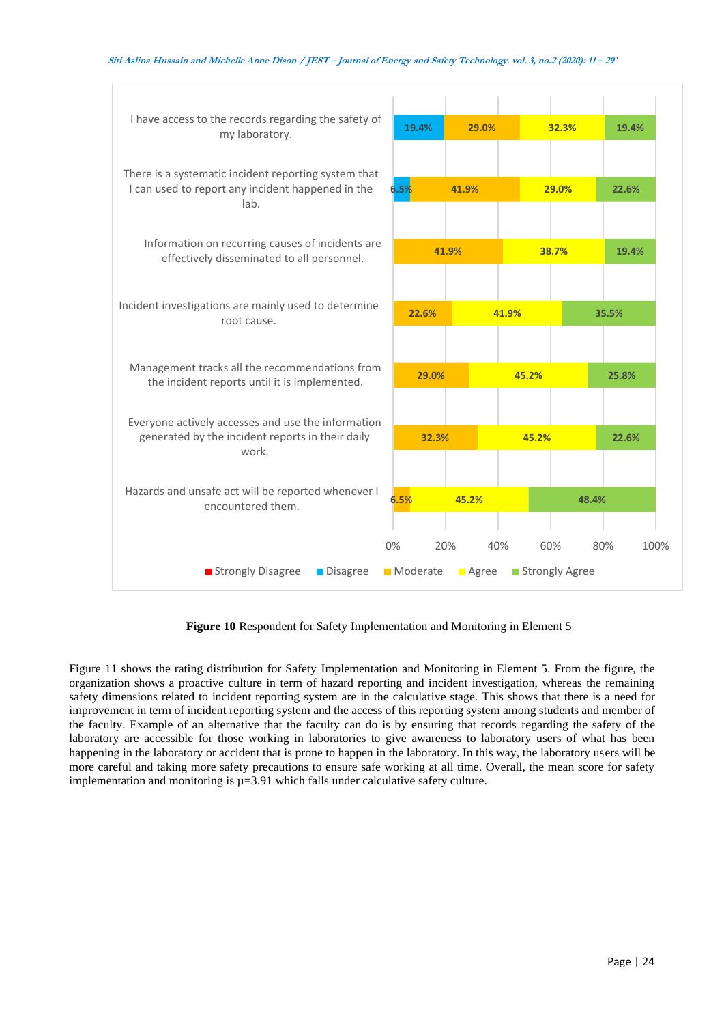



**Figure 10** Respondent for Safety Implementation and Monitoring in Element 5

Figure 11 shows the rating distribution for Safety Implementation and Monitoring in Element 5. From the figure, the organization shows a proactive culture in term of hazard reporting and incident investigation, whereas the remaining safety dimensions related to incident reporting system are in the calculative stage. This shows that there is a need for improvement in term of incident reporting system and the access of this reporting system among students and member of the faculty. Example of an alternative that the faculty can do is by ensuring that records regarding the safety of the laboratory are accessible for those working in laboratories to give awareness to laboratory users of what has been happening in the laboratory or accident that is prone to happen in the laboratory. In this way, the laboratory users will be more careful and taking more safety precautions to ensure safe working at all time. Overall, the mean score for safety implementation and monitoring is  $\mu$ =3.91 which falls under calculative safety culture.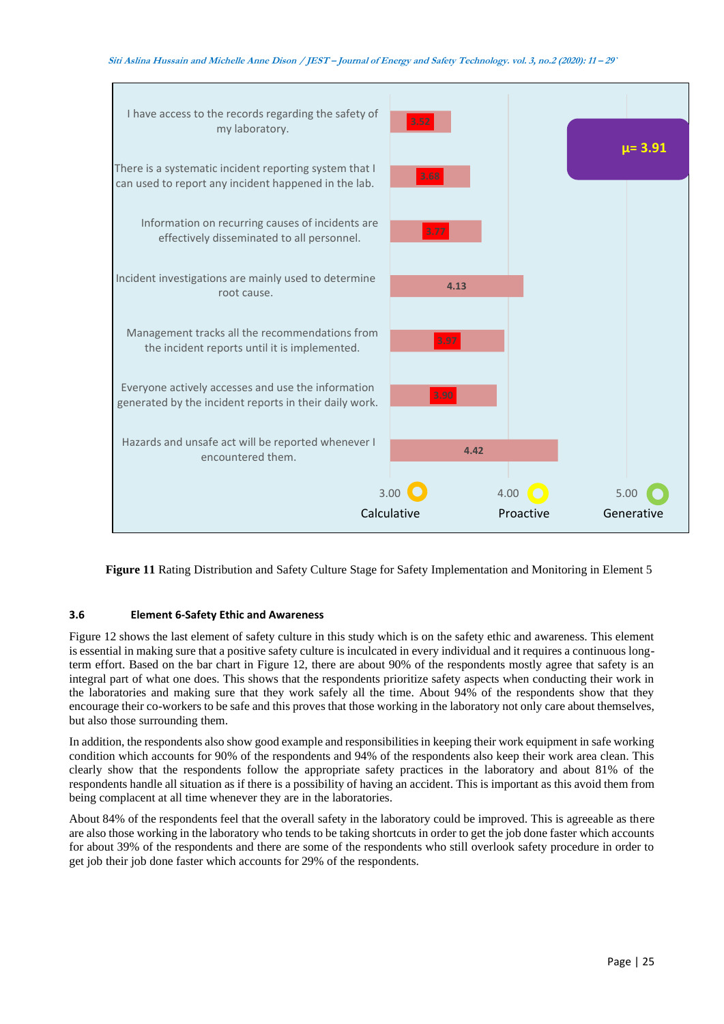

**Figure 11** Rating Distribution and Safety Culture Stage for Safety Implementation and Monitoring in Element 5

## **3.6 Element 6-Safety Ethic and Awareness**

Figure 12 shows the last element of safety culture in this study which is on the safety ethic and awareness. This element is essential in making sure that a positive safety culture is inculcated in every individual and it requires a continuous longterm effort. Based on the bar chart in Figure 12, there are about 90% of the respondents mostly agree that safety is an integral part of what one does. This shows that the respondents prioritize safety aspects when conducting their work in the laboratories and making sure that they work safely all the time. About 94% of the respondents show that they encourage their co-workers to be safe and this proves that those working in the laboratory not only care about themselves, but also those surrounding them.

In addition, the respondents also show good example and responsibilities in keeping their work equipment in safe working condition which accounts for 90% of the respondents and 94% of the respondents also keep their work area clean. This clearly show that the respondents follow the appropriate safety practices in the laboratory and about 81% of the respondents handle all situation as if there is a possibility of having an accident. This is important as this avoid them from being complacent at all time whenever they are in the laboratories.

About 84% of the respondents feel that the overall safety in the laboratory could be improved. This is agreeable as there are also those working in the laboratory who tends to be taking shortcuts in order to get the job done faster which accounts for about 39% of the respondents and there are some of the respondents who still overlook safety procedure in order to get job their job done faster which accounts for 29% of the respondents.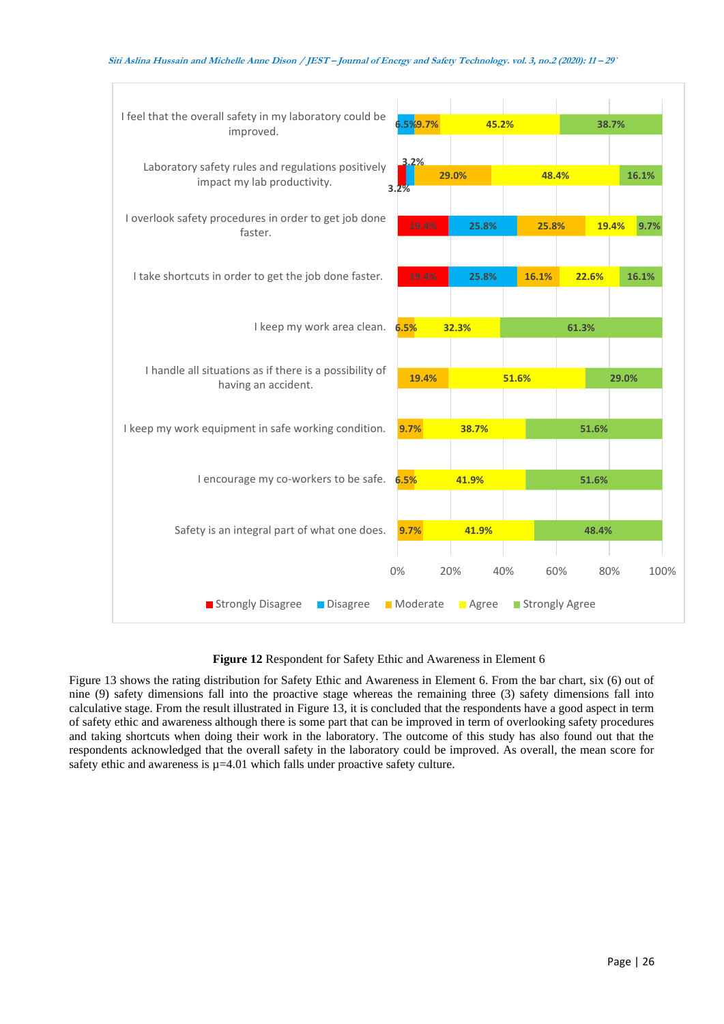

**Figure 12** Respondent for Safety Ethic and Awareness in Element 6

Figure 13 shows the rating distribution for Safety Ethic and Awareness in Element 6. From the bar chart, six (6) out of nine (9) safety dimensions fall into the proactive stage whereas the remaining three (3) safety dimensions fall into calculative stage. From the result illustrated in Figure 13, it is concluded that the respondents have a good aspect in term of safety ethic and awareness although there is some part that can be improved in term of overlooking safety procedures and taking shortcuts when doing their work in the laboratory. The outcome of this study has also found out that the respondents acknowledged that the overall safety in the laboratory could be improved. As overall, the mean score for safety ethic and awareness is  $\mu$ =4.01 which falls under proactive safety culture.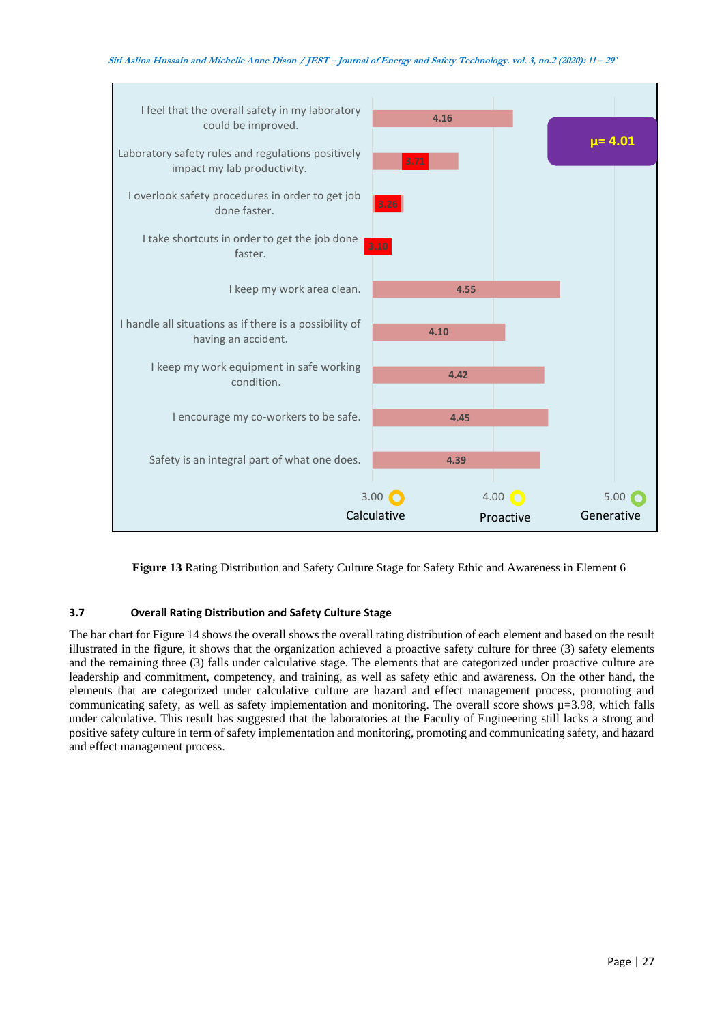

**Figure 13** Rating Distribution and Safety Culture Stage for Safety Ethic and Awareness in Element 6

# **3.7 Overall Rating Distribution and Safety Culture Stage**

The bar chart for Figure 14 shows the overall shows the overall rating distribution of each element and based on the result illustrated in the figure, it shows that the organization achieved a proactive safety culture for three (3) safety elements and the remaining three (3) falls under calculative stage. The elements that are categorized under proactive culture are leadership and commitment, competency, and training, as well as safety ethic and awareness. On the other hand, the elements that are categorized under calculative culture are hazard and effect management process, promoting and communicating safety, as well as safety implementation and monitoring. The overall score shows  $\mu$ =3.98, which falls under calculative. This result has suggested that the laboratories at the Faculty of Engineering still lacks a strong and positive safety culture in term of safety implementation and monitoring, promoting and communicating safety, and hazard and effect management process.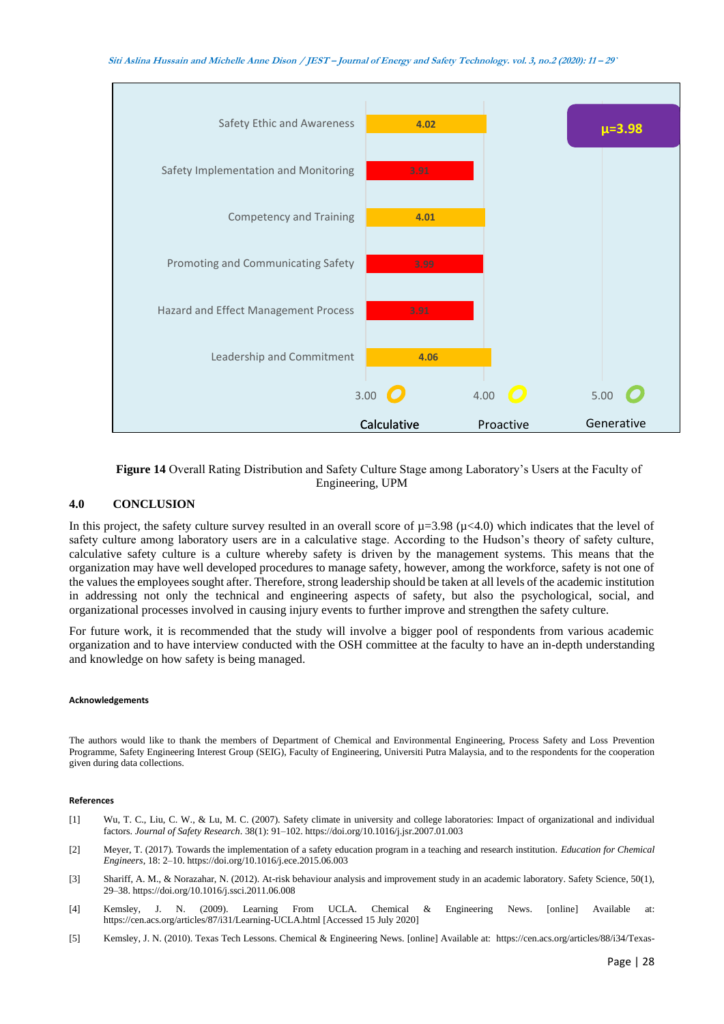

**Figure 14** Overall Rating Distribution and Safety Culture Stage among Laboratory's Users at the Faculty of Engineering, UPM

## **4.0 CONCLUSION**

In this project, the safety culture survey resulted in an overall score of  $\mu$ =3.98 ( $\mu$ <4.0) which indicates that the level of safety culture among laboratory users are in a calculative stage. According to the Hudson's theory of safety culture, calculative safety culture is a culture whereby safety is driven by the management systems. This means that the organization may have well developed procedures to manage safety, however, among the workforce, safety is not one of the values the employees sought after. Therefore, strong leadership should be taken at all levels of the academic institution in addressing not only the technical and engineering aspects of safety, but also the psychological, social, and organizational processes involved in causing injury events to further improve and strengthen the safety culture.

For future work, it is recommended that the study will involve a bigger pool of respondents from various academic organization and to have interview conducted with the OSH committee at the faculty to have an in-depth understanding and knowledge on how safety is being managed.

#### **Acknowledgements**

The authors would like to thank the members of Department of Chemical and Environmental Engineering, Process Safety and Loss Prevention Programme, Safety Engineering Interest Group (SEIG), Faculty of Engineering, Universiti Putra Malaysia, and to the respondents for the cooperation given during data collections.

#### **References**

- [1] Wu, T. C., Liu, C. W., & Lu, M. C. (2007). Safety climate in university and college laboratories: Impact of organizational and individual factors. *Journal of Safety Research*. 38(1): 91–102. https://doi.org/10.1016/j.jsr.2007.01.003
- [2] Meyer, T. (2017). Towards the implementation of a safety education program in a teaching and research institution. *Education for Chemical Engineers*, 18: 2–10. https://doi.org/10.1016/j.ece.2015.06.003
- [3] Shariff, A. M., & Norazahar, N. (2012). At-risk behaviour analysis and improvement study in an academic laboratory. Safety Science, 50(1), 29–38. https://doi.org/10.1016/j.ssci.2011.06.008
- [4] Kemsley, J. N. (2009). Learning From UCLA. Chemical & Engineering News. [online] Available at: https://cen.acs.org/articles/87/i31/Learning-UCLA.html [Accessed 15 July 2020]
- [5] Kemsley, J. N. (2010). Texas Tech Lessons. Chemical & Engineering News. [online] Available at: https://cen.acs.org/articles/88/i34/Texas-